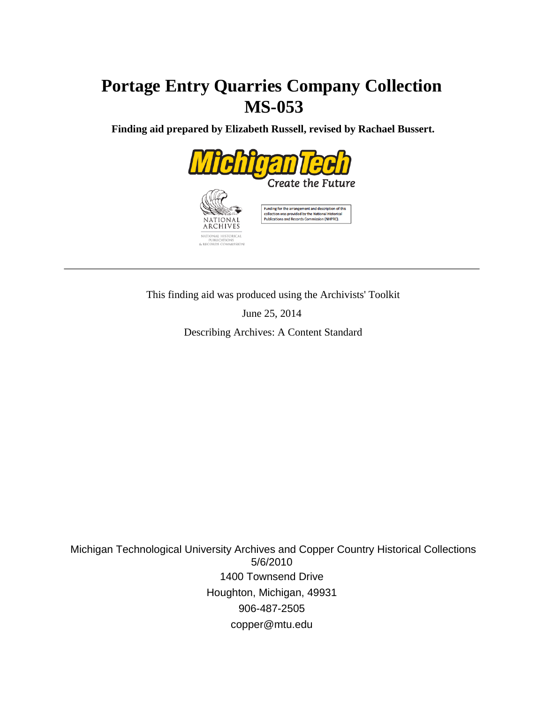# **Portage Entry Quarries Company Collection MS-053**

 **Finding aid prepared by Elizabeth Russell, revised by Rachael Bussert.**



This finding aid was produced using the Archivists' Toolkit

June 25, 2014

Describing Archives: A Content Standard

 Michigan Technological University Archives and Copper Country Historical Collections 5/6/2010 1400 Townsend Drive Houghton, Michigan, 49931 906-487-2505 copper@mtu.edu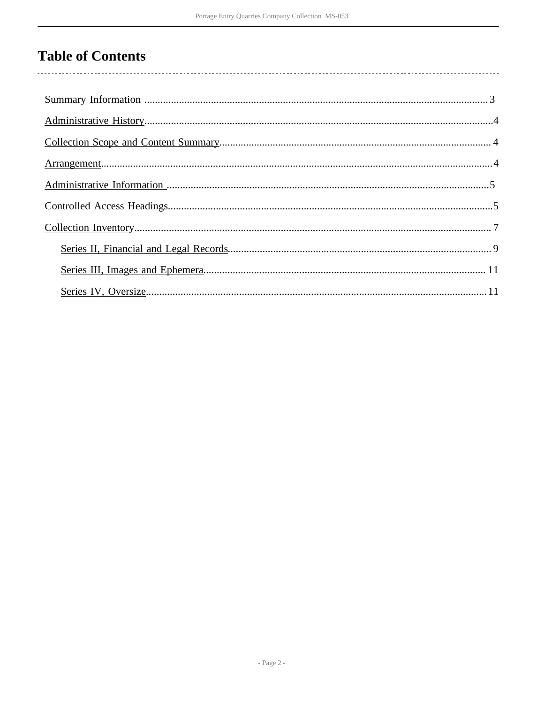# **Table of Contents**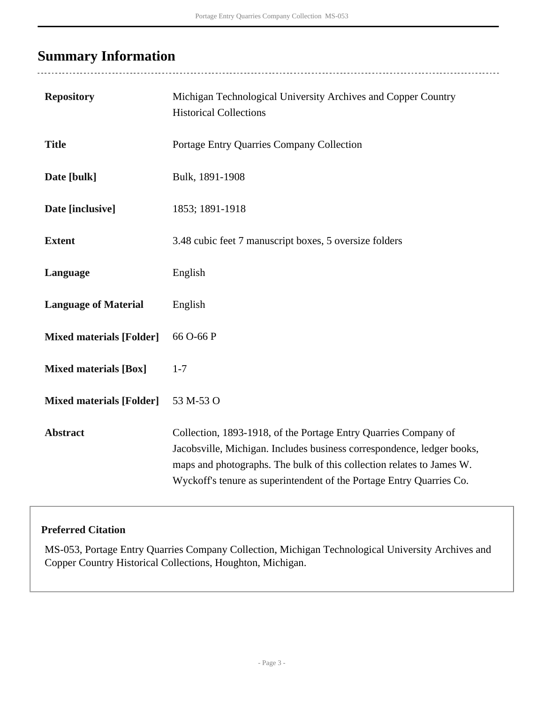# <span id="page-2-0"></span>**Summary Information**

 $\overline{a}$ 

| <b>Repository</b>               | Michigan Technological University Archives and Copper Country<br><b>Historical Collections</b>                                                                                                                                                                                             |
|---------------------------------|--------------------------------------------------------------------------------------------------------------------------------------------------------------------------------------------------------------------------------------------------------------------------------------------|
| <b>Title</b>                    | Portage Entry Quarries Company Collection                                                                                                                                                                                                                                                  |
| Date [bulk]                     | Bulk, 1891-1908                                                                                                                                                                                                                                                                            |
| Date [inclusive]                | 1853; 1891-1918                                                                                                                                                                                                                                                                            |
| <b>Extent</b>                   | 3.48 cubic feet 7 manuscript boxes, 5 oversize folders                                                                                                                                                                                                                                     |
| Language                        | English                                                                                                                                                                                                                                                                                    |
| <b>Language of Material</b>     | English                                                                                                                                                                                                                                                                                    |
| <b>Mixed materials [Folder]</b> | 66 O-66 P                                                                                                                                                                                                                                                                                  |
| <b>Mixed materials [Box]</b>    | $1 - 7$                                                                                                                                                                                                                                                                                    |
| <b>Mixed materials [Folder]</b> | 53 M-53 O                                                                                                                                                                                                                                                                                  |
| <b>Abstract</b>                 | Collection, 1893-1918, of the Portage Entry Quarries Company of<br>Jacobsville, Michigan. Includes business correspondence, ledger books,<br>maps and photographs. The bulk of this collection relates to James W.<br>Wyckoff's tenure as superintendent of the Portage Entry Quarries Co. |

#### **Preferred Citation**

MS-053, Portage Entry Quarries Company Collection, Michigan Technological University Archives and Copper Country Historical Collections, Houghton, Michigan.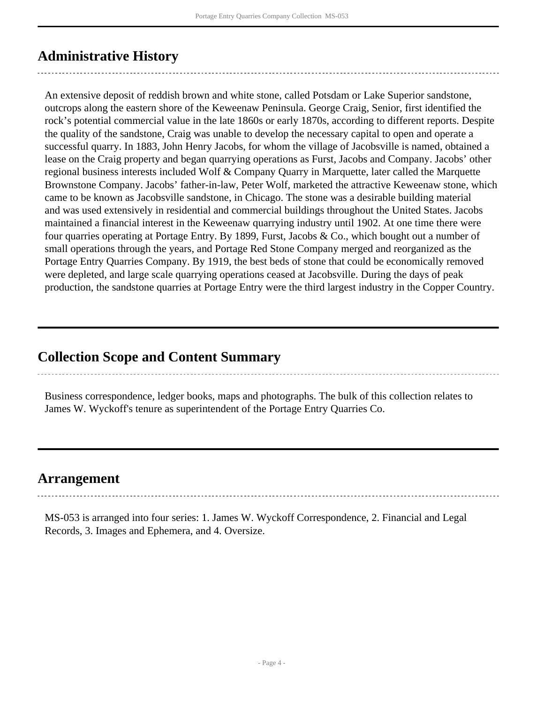## <span id="page-3-0"></span>**Administrative History**

An extensive deposit of reddish brown and white stone, called Potsdam or Lake Superior sandstone, outcrops along the eastern shore of the Keweenaw Peninsula. George Craig, Senior, first identified the rock's potential commercial value in the late 1860s or early 1870s, according to different reports. Despite the quality of the sandstone, Craig was unable to develop the necessary capital to open and operate a successful quarry. In 1883, John Henry Jacobs, for whom the village of Jacobsville is named, obtained a lease on the Craig property and began quarrying operations as Furst, Jacobs and Company. Jacobs' other regional business interests included Wolf & Company Quarry in Marquette, later called the Marquette Brownstone Company. Jacobs' father-in-law, Peter Wolf, marketed the attractive Keweenaw stone, which came to be known as Jacobsville sandstone, in Chicago. The stone was a desirable building material and was used extensively in residential and commercial buildings throughout the United States. Jacobs maintained a financial interest in the Keweenaw quarrying industry until 1902. At one time there were four quarries operating at Portage Entry. By 1899, Furst, Jacobs & Co., which bought out a number of small operations through the years, and Portage Red Stone Company merged and reorganized as the Portage Entry Quarries Company. By 1919, the best beds of stone that could be economically removed were depleted, and large scale quarrying operations ceased at Jacobsville. During the days of peak production, the sandstone quarries at Portage Entry were the third largest industry in the Copper Country.

### <span id="page-3-1"></span>**Collection Scope and Content Summary**

Business correspondence, ledger books, maps and photographs. The bulk of this collection relates to James W. Wyckoff's tenure as superintendent of the Portage Entry Quarries Co.

### <span id="page-3-2"></span>**Arrangement**

MS-053 is arranged into four series: 1. James W. Wyckoff Correspondence, 2. Financial and Legal Records, 3. Images and Ephemera, and 4. Oversize.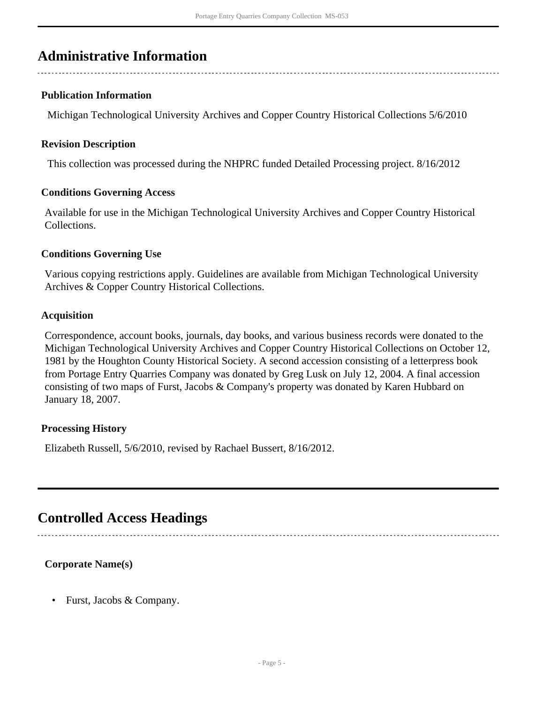## <span id="page-4-0"></span>**Administrative Information**

#### **Publication Information**

Michigan Technological University Archives and Copper Country Historical Collections 5/6/2010

#### **Revision Description**

This collection was processed during the NHPRC funded Detailed Processing project. 8/16/2012

#### **Conditions Governing Access**

Available for use in the Michigan Technological University Archives and Copper Country Historical Collections.

#### **Conditions Governing Use**

Various copying restrictions apply. Guidelines are available from Michigan Technological University Archives & Copper Country Historical Collections.

#### **Acquisition**

Correspondence, account books, journals, day books, and various business records were donated to the Michigan Technological University Archives and Copper Country Historical Collections on October 12, 1981 by the Houghton County Historical Society. A second accession consisting of a letterpress book from Portage Entry Quarries Company was donated by Greg Lusk on July 12, 2004. A final accession consisting of two maps of Furst, Jacobs & Company's property was donated by Karen Hubbard on January 18, 2007.

#### **Processing History**

Elizabeth Russell, 5/6/2010, revised by Rachael Bussert, 8/16/2012.

### <span id="page-4-1"></span>**Controlled Access Headings**

#### **Corporate Name(s)**

• Furst, Jacobs & Company.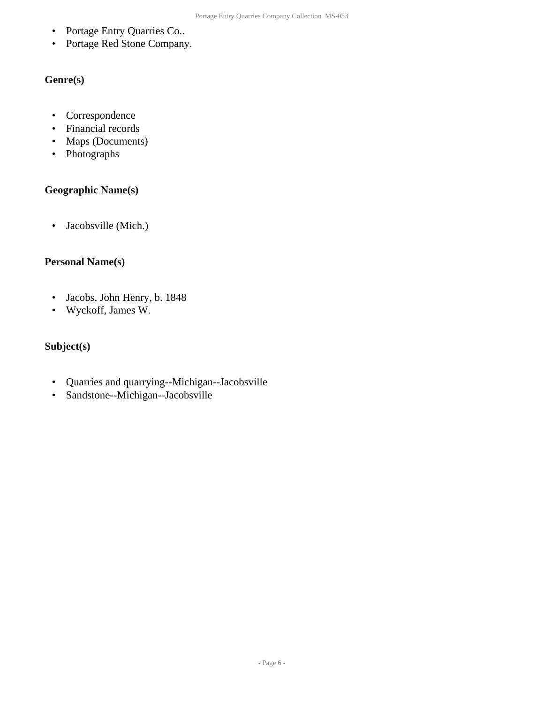- Portage Entry Quarries Co..
- Portage Red Stone Company.

#### **Genre(s)**

- Correspondence
- Financial records
- Maps (Documents)
- Photographs

#### **Geographic Name(s)**

• Jacobsville (Mich.)

#### **Personal Name(s)**

- Jacobs, John Henry, b. 1848
- Wyckoff, James W.

#### **Subject(s)**

- Quarries and quarrying--Michigan--Jacobsville
- Sandstone--Michigan--Jacobsville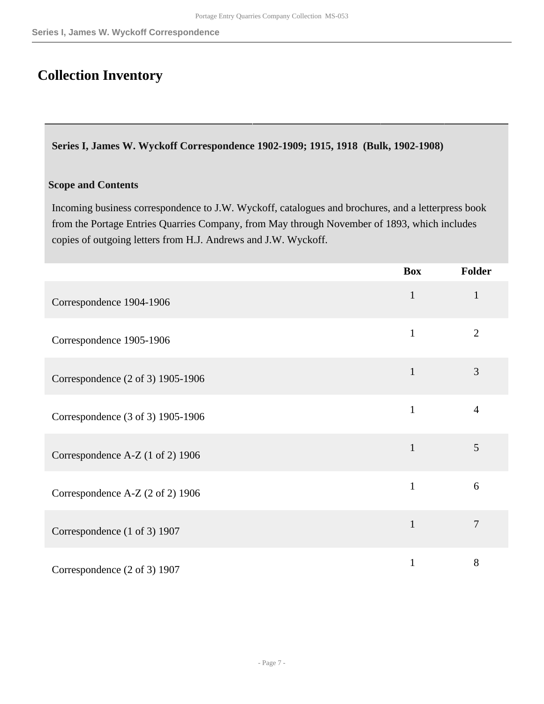# <span id="page-6-0"></span>**Collection Inventory**

**Series I, James W. Wyckoff Correspondence 1902-1909; 1915, 1918 (Bulk, 1902-1908)**

#### **Scope and Contents**

Incoming business correspondence to J.W. Wyckoff, catalogues and brochures, and a letterpress book from the Portage Entries Quarries Company, from May through November of 1893, which includes copies of outgoing letters from H.J. Andrews and J.W. Wyckoff.

|                                   | <b>Box</b>   | <b>Folder</b>  |
|-----------------------------------|--------------|----------------|
| Correspondence 1904-1906          | $\mathbf{1}$ | $\mathbf{1}$   |
| Correspondence 1905-1906          | $\mathbf{1}$ | $\overline{2}$ |
| Correspondence (2 of 3) 1905-1906 | $\mathbf{1}$ | 3              |
| Correspondence (3 of 3) 1905-1906 | $\mathbf{1}$ | $\overline{4}$ |
| Correspondence A-Z (1 of 2) 1906  | $\mathbf{1}$ | 5              |
| Correspondence A-Z (2 of 2) 1906  | $\mathbf{1}$ | 6              |
| Correspondence (1 of 3) 1907      | $\mathbf{1}$ | $\overline{7}$ |
| Correspondence (2 of 3) 1907      | 1            | 8              |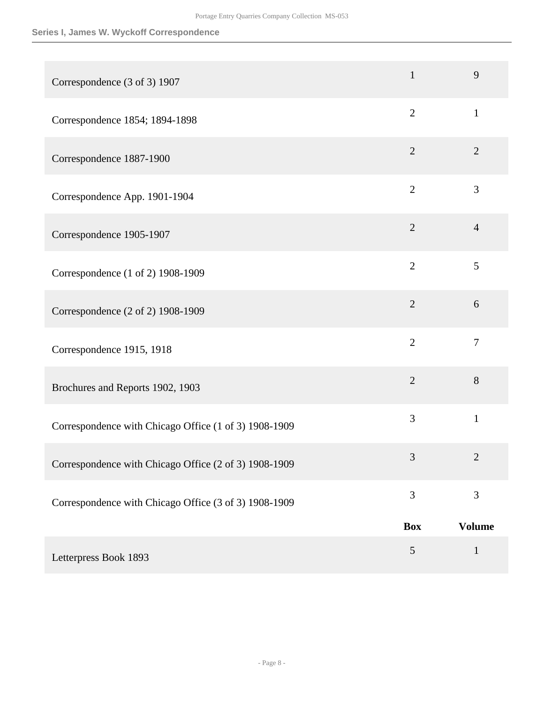#### **Series I, James W. Wyckoff Correspondence**

| Correspondence (3 of 3) 1907                          | $\mathbf{1}$   | 9              |
|-------------------------------------------------------|----------------|----------------|
| Correspondence 1854; 1894-1898                        | $\overline{2}$ | $\mathbf{1}$   |
| Correspondence 1887-1900                              | $\overline{2}$ | $\overline{2}$ |
| Correspondence App. 1901-1904                         | $\overline{2}$ | 3              |
| Correspondence 1905-1907                              | $\overline{2}$ | $\overline{4}$ |
| Correspondence (1 of 2) 1908-1909                     | $\overline{2}$ | 5              |
| Correspondence (2 of 2) 1908-1909                     | $\overline{2}$ | 6              |
| Correspondence 1915, 1918                             | $\overline{2}$ | $\overline{7}$ |
| Brochures and Reports 1902, 1903                      | $\overline{2}$ | 8              |
| Correspondence with Chicago Office (1 of 3) 1908-1909 | 3              | $\mathbf{1}$   |
| Correspondence with Chicago Office (2 of 3) 1908-1909 | 3              | $\overline{2}$ |
| Correspondence with Chicago Office (3 of 3) 1908-1909 | 3              | 3              |
|                                                       | <b>Box</b>     | <b>Volume</b>  |
| Letterpress Book 1893                                 | 5              | $\mathbf{1}$   |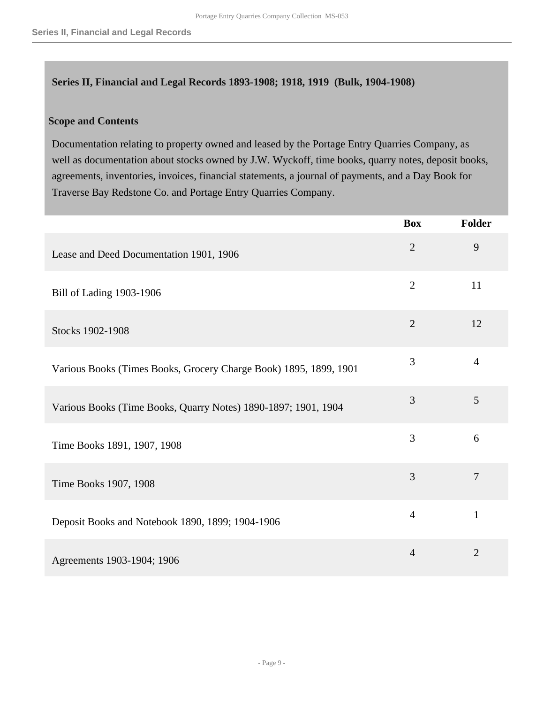#### <span id="page-8-0"></span>**Series II, Financial and Legal Records 1893-1908; 1918, 1919 (Bulk, 1904-1908)**

#### **Scope and Contents**

Documentation relating to property owned and leased by the Portage Entry Quarries Company, as well as documentation about stocks owned by J.W. Wyckoff, time books, quarry notes, deposit books, agreements, inventories, invoices, financial statements, a journal of payments, and a Day Book for Traverse Bay Redstone Co. and Portage Entry Quarries Company.

|                                                                   | <b>Box</b>     | Folder         |
|-------------------------------------------------------------------|----------------|----------------|
| Lease and Deed Documentation 1901, 1906                           | $\overline{2}$ | 9              |
| Bill of Lading 1903-1906                                          | $\overline{2}$ | 11             |
| Stocks 1902-1908                                                  | $\overline{2}$ | 12             |
| Various Books (Times Books, Grocery Charge Book) 1895, 1899, 1901 | 3              | $\overline{4}$ |
| Various Books (Time Books, Quarry Notes) 1890-1897; 1901, 1904    | 3              | 5              |
| Time Books 1891, 1907, 1908                                       | $\overline{3}$ | 6              |
| Time Books 1907, 1908                                             | $\overline{3}$ | $\overline{7}$ |
| Deposit Books and Notebook 1890, 1899; 1904-1906                  | $\overline{4}$ | $\mathbf{1}$   |
| Agreements 1903-1904; 1906                                        | $\overline{4}$ | $\overline{2}$ |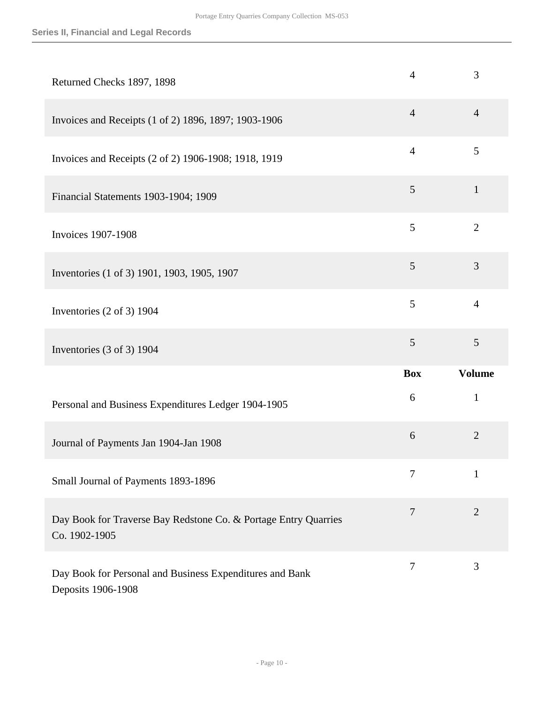| Returned Checks 1897, 1898                                                       | 4              | 3              |
|----------------------------------------------------------------------------------|----------------|----------------|
| Invoices and Receipts (1 of 2) 1896, 1897; 1903-1906                             | $\overline{4}$ | $\overline{4}$ |
| Invoices and Receipts (2 of 2) 1906-1908; 1918, 1919                             | $\overline{4}$ | 5              |
| Financial Statements 1903-1904; 1909                                             | 5              | $\mathbf{1}$   |
| <b>Invoices 1907-1908</b>                                                        | 5              | $\overline{2}$ |
| Inventories (1 of 3) 1901, 1903, 1905, 1907                                      | 5              | 3              |
| Inventories (2 of 3) 1904                                                        | 5              | $\overline{4}$ |
| Inventories (3 of 3) 1904                                                        | 5              | 5              |
|                                                                                  | <b>Box</b>     | <b>Volume</b>  |
|                                                                                  |                |                |
| Personal and Business Expenditures Ledger 1904-1905                              | 6              | $\mathbf{1}$   |
| Journal of Payments Jan 1904-Jan 1908                                            | 6              | $\overline{2}$ |
| Small Journal of Payments 1893-1896                                              | 7              | $\mathbf{1}$   |
| Day Book for Traverse Bay Redstone Co. & Portage Entry Quarries<br>Co. 1902-1905 | 7              | $\overline{2}$ |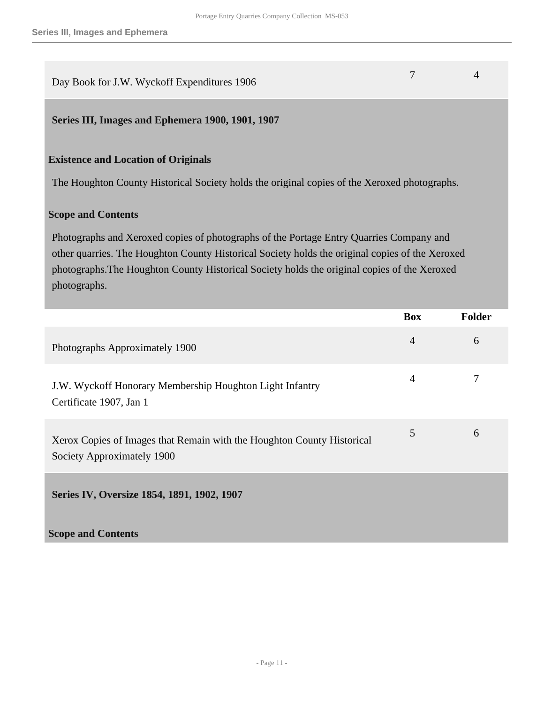<span id="page-10-1"></span><span id="page-10-0"></span>

| Day Book for J.W. Wyckoff Expenditures 1906                                                                                                                                                                                                                                                                | 7              | 4             |
|------------------------------------------------------------------------------------------------------------------------------------------------------------------------------------------------------------------------------------------------------------------------------------------------------------|----------------|---------------|
| Series III, Images and Ephemera 1900, 1901, 1907                                                                                                                                                                                                                                                           |                |               |
| <b>Existence and Location of Originals</b>                                                                                                                                                                                                                                                                 |                |               |
| The Houghton County Historical Society holds the original copies of the Xeroxed photographs.                                                                                                                                                                                                               |                |               |
| <b>Scope and Contents</b>                                                                                                                                                                                                                                                                                  |                |               |
| Photographs and Xeroxed copies of photographs of the Portage Entry Quarries Company and<br>other quarries. The Houghton County Historical Society holds the original copies of the Xeroxed<br>photographs. The Houghton County Historical Society holds the original copies of the Xeroxed<br>photographs. |                |               |
|                                                                                                                                                                                                                                                                                                            |                |               |
|                                                                                                                                                                                                                                                                                                            | <b>Box</b>     | <b>Folder</b> |
| Photographs Approximately 1900                                                                                                                                                                                                                                                                             | $\overline{4}$ | 6             |
| J.W. Wyckoff Honorary Membership Houghton Light Infantry<br>Certificate 1907, Jan 1                                                                                                                                                                                                                        | $\overline{4}$ | 7             |
| Xerox Copies of Images that Remain with the Houghton County Historical<br>Society Approximately 1900                                                                                                                                                                                                       | 5              | 6             |
| Series IV, Oversize 1854, 1891, 1902, 1907                                                                                                                                                                                                                                                                 |                |               |